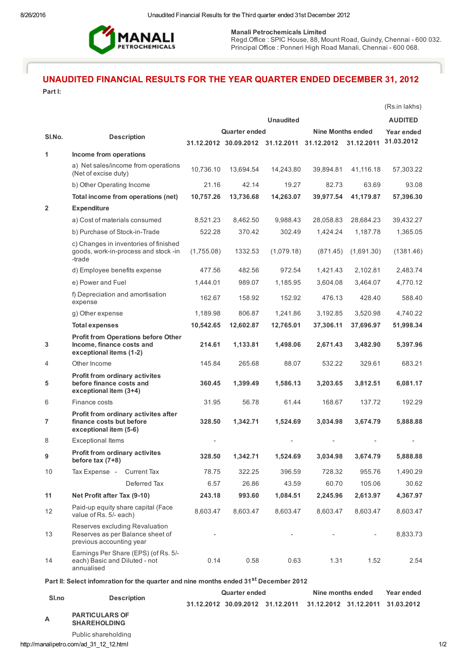

Manali Petrochemicals Limited

Regd.Office: SPIC House, 88, Mount Road, Guindy, Chennai - 600 032. Principal Office : Ponneri High Road Manali, Chennai 600 068.

# UNAUDITED FINANCIAL RESULTS FOR THE YEAR QUARTER ENDED DECEMBER 31, 2012

Part I:

|                                                                                                  |                                                                                                    |                      |                      |                                             |                          |                          | (Rs.in lakhs)  |  |
|--------------------------------------------------------------------------------------------------|----------------------------------------------------------------------------------------------------|----------------------|----------------------|---------------------------------------------|--------------------------|--------------------------|----------------|--|
|                                                                                                  |                                                                                                    |                      |                      | <b>Unaudited</b>                            |                          |                          | <b>AUDITED</b> |  |
|                                                                                                  |                                                                                                    |                      | <b>Quarter ended</b> |                                             | <b>Nine Months ended</b> |                          | Year ended     |  |
| SI.No.                                                                                           | <b>Description</b>                                                                                 |                      |                      | 31.12.2012 30.09.2012 31.12.2011 31.12.2012 |                          | 31.12.2011               | 31.03.2012     |  |
| 1                                                                                                | Income from operations                                                                             |                      |                      |                                             |                          |                          |                |  |
|                                                                                                  | a) Net sales/income from operations<br>(Net of excise duty)                                        | 10,736.10            | 13,694.54            | 14,243.80                                   | 39,894.81                | 41,116.18                | 57,303.22      |  |
|                                                                                                  | b) Other Operating Income                                                                          | 21.16                | 42.14                | 19.27                                       | 82.73                    | 63.69                    | 93.08          |  |
|                                                                                                  | Total income from operations (net)                                                                 | 10,757.26            | 13,736.68            | 14,263.07                                   | 39,977.54                | 41,179.87                | 57,396.30      |  |
| $\overline{2}$                                                                                   | <b>Expenditure</b>                                                                                 |                      |                      |                                             |                          |                          |                |  |
|                                                                                                  | a) Cost of materials consumed                                                                      | 8,521.23             | 8,462.50             | 9,988.43                                    | 28,058.83                | 28,684.23                | 39,432.27      |  |
|                                                                                                  | b) Purchase of Stock-in-Trade                                                                      | 522.28               | 370.42               | 302.49                                      | 1,424.24                 | 1,187.78                 | 1,365.05       |  |
|                                                                                                  | c) Changes in inventories of finished<br>goods, work-in-process and stock -in<br>-trade            | (1,755.08)           | 1332.53              | (1,079.18)                                  | (871.45)                 | (1,691.30)               | (1381.46)      |  |
|                                                                                                  | d) Employee benefits expense                                                                       | 477.56               | 482.56               | 972.54                                      | 1,421.43                 | 2,102.81                 | 2,483.74       |  |
|                                                                                                  | e) Power and Fuel                                                                                  | 1,444.01             | 989.07               | 1,185.95                                    | 3,604.08                 | 3,464.07                 | 4,770.12       |  |
|                                                                                                  | f) Depreciation and amortisation<br>expense                                                        | 162.67               | 158.92               | 152.92                                      | 476.13                   | 428.40                   | 588.40         |  |
|                                                                                                  | g) Other expense                                                                                   | 1,189.98             | 806.87               | 1,241.86                                    | 3,192.85                 | 3,520.98                 | 4,740.22       |  |
|                                                                                                  | <b>Total expenses</b>                                                                              | 10,542.65            | 12,602.87            | 12,765.01                                   | 37,306.11                | 37,696.97                | 51,998.34      |  |
| 3                                                                                                | <b>Profit from Operations before Other</b><br>Income, finance costs and<br>exceptional items (1-2) | 214.61               | 1,133.81             | 1,498.06                                    | 2,671.43                 | 3,482.90                 | 5,397.96       |  |
| 4                                                                                                | Other Income                                                                                       | 145.84               | 265.68               | 88.07                                       | 532.22                   | 329.61                   | 683.21         |  |
| 5                                                                                                | Profit from ordinary activites<br>before finance costs and<br>exceptional item (3+4)               | 360.45               | 1,399.49             | 1,586.13                                    | 3,203.65                 | 3,812.51                 | 6,081.17       |  |
| 6                                                                                                | Finance costs                                                                                      | 31.95                | 56.78                | 61.44                                       | 168.67                   | 137.72                   | 192.29         |  |
| $\overline{7}$                                                                                   | Profit from ordinary activites after<br>finance costs but before<br>exceptional item (5-6)         | 328.50               | 1,342.71             | 1,524.69                                    | 3,034.98                 | 3,674.79                 | 5,888.88       |  |
| 8                                                                                                | <b>Exceptional Items</b>                                                                           |                      |                      |                                             |                          |                          |                |  |
| 9                                                                                                | <b>Profit from ordinary activites</b><br>before tax (7+8)                                          | 328.50               | 1,342.71             | 1,524.69                                    | 3,034.98                 | 3,674.79                 | 5,888.88       |  |
| 10                                                                                               | Tax Expense -<br><b>Current Tax</b>                                                                | 78.75                | 322.25               | 396.59                                      | 728.32                   | 955.76                   | 1,490.29       |  |
|                                                                                                  | Deferred Tax                                                                                       | 6.57                 | 26.86                | 43.59                                       | 60.70                    | 105.06                   | 30.62          |  |
| 11                                                                                               | Net Profit after Tax (9-10)                                                                        | 243.18               | 993.60               | 1,084.51                                    | 2,245.96                 | 2,613.97                 | 4,367.97       |  |
| 12                                                                                               | Paid-up equity share capital (Face<br>value of Rs. 5/- each)                                       | 8,603.47             | 8,603.47             | 8,603.47                                    | 8,603.47                 | 8,603.47                 | 8,603.47       |  |
| 13                                                                                               | Reserves excluding Revaluation<br>Reserves as per Balance sheet of<br>previous accounting year     |                      |                      |                                             |                          | $\overline{\phantom{a}}$ | 8,833.73       |  |
| 14                                                                                               | Earnings Per Share (EPS) (of Rs. 5/-<br>each) Basic and Diluted - not<br>annualised                | 0.14                 | 0.58                 | 0.63                                        | 1.31                     | 1.52                     | 2.54           |  |
| Part II: Select infomration for the quarter and nine months ended 31 <sup>st</sup> December 2012 |                                                                                                    |                      |                      |                                             |                          |                          |                |  |
|                                                                                                  | <b>Description</b>                                                                                 | <b>Quarter ended</b> |                      |                                             | Nine months ended        |                          | Year ended     |  |
| Sl.no                                                                                            |                                                                                                    |                      |                      | 31.12.2012 30.09.2012 31.12.2011            | 31.12.2012 31.12.2011    |                          | 31.03.2012     |  |

A PARTICULARS OF

SHAREHOLDING

Public shareholding